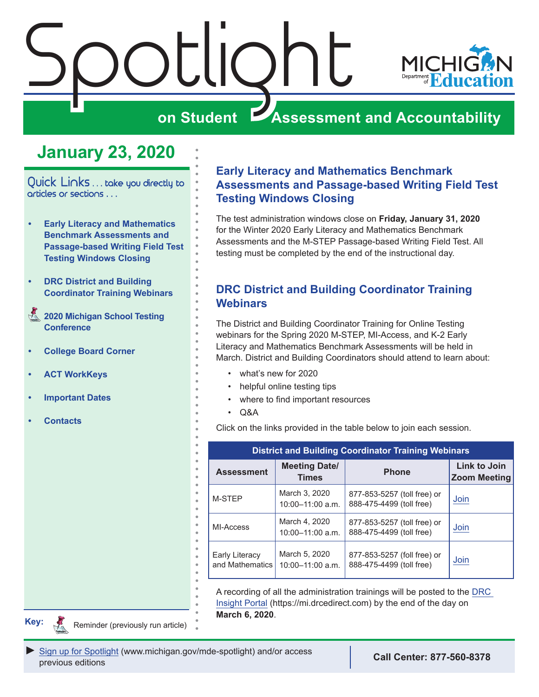<span id="page-0-0"></span>

## **on Student Assessment and Accountability**

## **January 23, 2020**

Quick Links ... take you directly to articles or sections . . .

- **• Early Literacy and Mathematics Benchmark Assessments and Passage-based Writing Field Test Testing Windows Closing**
- **• DRC District and Building Coordinator Training Webinars**
- Reminders **[2020 Michigan School Testing](#page-1-0)  [Conference](#page-1-0)**
- **• [College Board Corner](#page-2-0)**
- **• [ACT WorkKeys](#page-4-0)**
- **• [Important Dates](#page-6-0)**
- **• [Contacts](#page-8-0)**

#### **Early Literacy and Mathematics Benchmark Assessments and Passage-based Writing Field Test Testing Windows Closing**

The test administration windows close on **Friday, January 31, 2020** for the Winter 2020 Early Literacy and Mathematics Benchmark Assessments and the M-STEP Passage-based Writing Field Test. All testing must be completed by the end of the instructional day.

#### **DRC District and Building Coordinator Training Webinars**

The District and Building Coordinator Training for Online Testing webinars for the Spring 2020 M-STEP, MI-Access, and K-2 Early Literacy and Mathematics Benchmark Assessments will be held in March. District and Building Coordinators should attend to learn about:

- what's new for 2020
- helpful online testing tips
- where to find important resources
- $O$ &A

Click on the links provided in the table below to join each session.

| <b>District and Building Coordinator Training Webinars</b> |                                       |                                                         |                                     |
|------------------------------------------------------------|---------------------------------------|---------------------------------------------------------|-------------------------------------|
| <b>Assessment</b>                                          | <b>Meeting Date/</b><br><b>Times</b>  | <b>Phone</b>                                            | Link to Join<br><b>Zoom Meeting</b> |
| M-STEP                                                     | March 3, 2020<br>10:00-11:00 a.m.     | 877-853-5257 (toll free) or<br>888-475-4499 (toll free) | Join                                |
| MI-Access                                                  | March 4, 2020<br>$10:00 - 11:00$ a.m. | 877-853-5257 (toll free) or<br>888-475-4499 (toll free) | Join                                |
| Early Literacy<br>and Mathematics                          | March 5, 2020<br>10:00-11:00 a.m.     | 877-853-5257 (foll free) or<br>888-475-4499 (toll free) | Join                                |

A recording of all the administration trainings will be posted to the [DRC](https://mi.drcedirect.com)  [Insight Portal](https://mi.drcedirect.com) (https://mi.drcedirect.com) by the end of the day on **March 6, 2020**.

**Key:**

Reminders

Reminder (previously run article)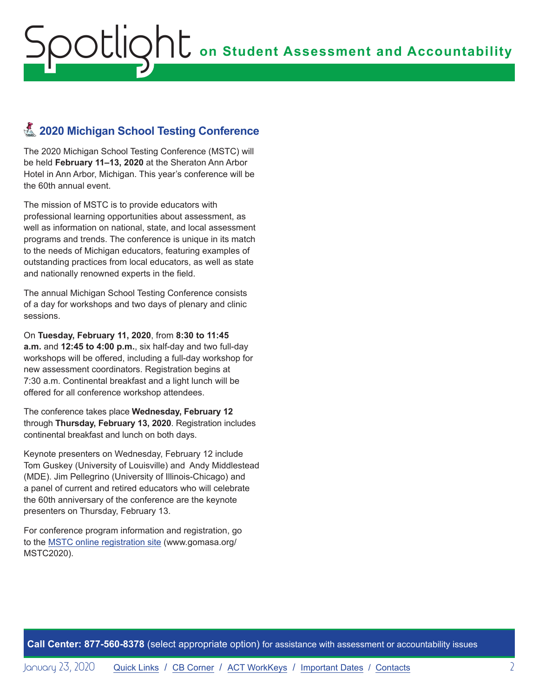## <span id="page-1-0"></span>**Z** 2020 Michigan School Testing Conference

The 2020 Michigan School Testing Conference (MSTC) will be held **February 11–13, 2020** at the Sheraton Ann Arbor Hotel in Ann Arbor, Michigan. This year's conference will be the 60th annual event.

The mission of MSTC is to provide educators with professional learning opportunities about assessment, as well as information on national, state, and local assessment programs and trends. The conference is unique in its match to the needs of Michigan educators, featuring examples of outstanding practices from local educators, as well as state and nationally renowned experts in the field.

The annual Michigan School Testing Conference consists of a day for workshops and two days of plenary and clinic sessions.

On **Tuesday, February 11, 2020**, from **8:30 to 11:45 a.m.** and **12:45 to 4:00 p.m.**, six half-day and two full-day workshops will be offered, including a full-day workshop for new assessment coordinators. Registration begins at 7:30 a.m. Continental breakfast and a light lunch will be offered for all conference workshop attendees.

The conference takes place **Wednesday, February 12** through **Thursday, February 13, 2020**. Registration includes continental breakfast and lunch on both days.

Keynote presenters on Wednesday, February 12 include Tom Guskey (University of Louisville) and Andy Middlestead (MDE). Jim Pellegrino (University of Illinois-Chicago) and a panel of current and retired educators who will celebrate the 60th anniversary of the conference are the keynote presenters on Thursday, February 13.

For conference program information and registration, go to the [MSTC online registration site](http://www.gomasa.org/MSTC2020) (www.gomasa.org/ MSTC2020).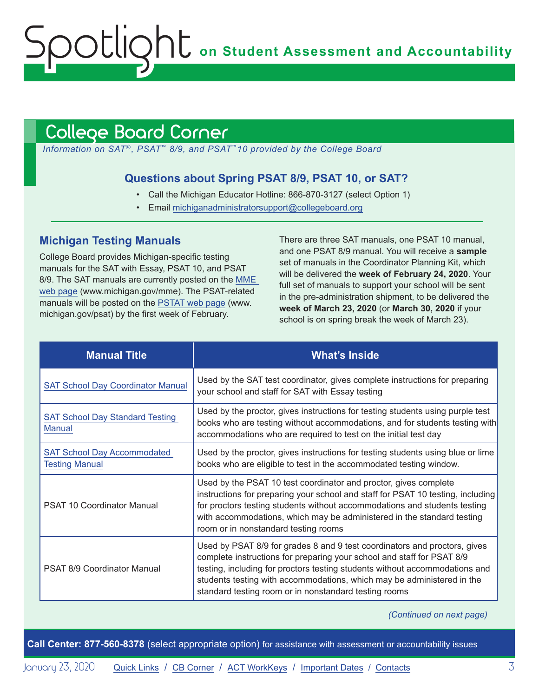**on Student Assessment and Accountability**

## <span id="page-2-1"></span>College Board Corner

*Information on SAT*®*, PSAT*™ *8/9, and PSAT*™*10 provided by the College Board*

#### **Questions about Spring PSAT 8/9, PSAT 10, or SAT?**

- Call the Michigan Educator Hotline: 866-870-3127 (select Option 1)
- Email [michiganadministratorsupport@collegeboard.org](mailto:michiganadministratorsupport%40collegeboard.org?subject=)

#### **Michigan Testing Manuals**

<span id="page-2-0"></span>Spotlight

College Board provides Michigan-specific testing manuals for the SAT with Essay, PSAT 10, and PSAT 8/9. The SAT manuals are currently posted on the [MME](www.michigan.gov/mme)  [web page](www.michigan.gov/mme) (www.michigan.gov/mme). The PSAT-related manuals will be posted on the [PSTAT web page](http://www.michigan.gov/psat) (www. michigan.gov/psat) by the first week of February.

There are three SAT manuals, one PSAT 10 manual, and one PSAT 8/9 manual. You will receive a **sample** set of manuals in the Coordinator Planning Kit, which will be delivered the **week of February 24, 2020**. Your full set of manuals to support your school will be sent in the pre-administration shipment, to be delivered the **week of March 23, 2020** (or **March 30, 2020** if your school is on spring break the week of March 23).

| <b>Manual Title</b>                                         | <b>What's Inside</b>                                                                                                                                                                                                                                                                                                                                                  |
|-------------------------------------------------------------|-----------------------------------------------------------------------------------------------------------------------------------------------------------------------------------------------------------------------------------------------------------------------------------------------------------------------------------------------------------------------|
| <b>SAT School Day Coordinator Manual</b>                    | Used by the SAT test coordinator, gives complete instructions for preparing<br>your school and staff for SAT with Essay testing                                                                                                                                                                                                                                       |
| <b>SAT School Day Standard Testing</b><br><b>Manual</b>     | Used by the proctor, gives instructions for testing students using purple test<br>books who are testing without accommodations, and for students testing with<br>accommodations who are required to test on the initial test day                                                                                                                                      |
| <b>SAT School Day Accommodated</b><br><b>Testing Manual</b> | Used by the proctor, gives instructions for testing students using blue or lime<br>books who are eligible to test in the accommodated testing window.                                                                                                                                                                                                                 |
| <b>PSAT 10 Coordinator Manual</b>                           | Used by the PSAT 10 test coordinator and proctor, gives complete<br>instructions for preparing your school and staff for PSAT 10 testing, including<br>for proctors testing students without accommodations and students testing<br>with accommodations, which may be administered in the standard testing<br>room or in nonstandard testing rooms                    |
| PSAT 8/9 Coordinator Manual                                 | Used by PSAT 8/9 for grades 8 and 9 test coordinators and proctors, gives<br>complete instructions for preparing your school and staff for PSAT 8/9<br>testing, including for proctors testing students without accommodations and<br>students testing with accommodations, which may be administered in the<br>standard testing room or in nonstandard testing rooms |

*(Continued on next page)*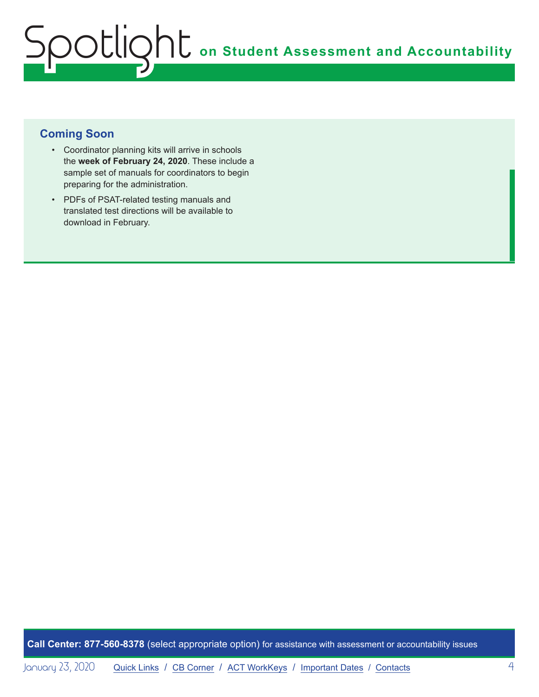#### **Coming Soon**

- Coordinator planning kits will arrive in schools the **week of February 24, 2020**. These include a sample set of manuals for coordinators to begin preparing for the administration.
- PDFs of PSAT-related testing manuals and translated test directions will be available to download in February.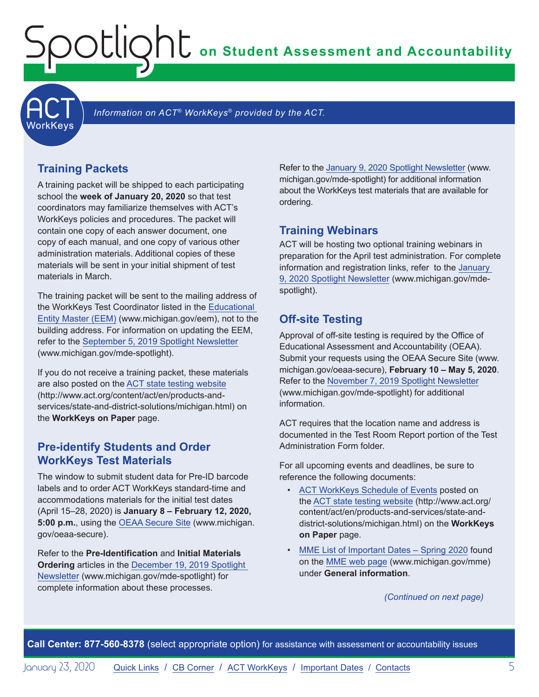**on Student Assessment and Accountability**

**ACT** 

Information on ACT<sup>®</sup> WorkKeys<sup>®</sup> provided by the ACT.

#### **Training Packets**

<span id="page-4-0"></span>Spotlight

A training packet will be shipped to each participating school the **week of January 20, 2020** so that test coordinators may familiarize themselves with ACT's WorkKeys policies and procedures. The packet will contain one copy of each answer document, one copy of each manual, and one copy of various other administration materials. Additional copies of these materials will be sent in your initial shipment of test materials in March.

The training packet will be sent to the mailing address of the WorkKeys Test Coordinator listed in the [Educational](www.michigan.gov/EEM)  [Entity Master \(EEM\)](www.michigan.gov/EEM) (www.michigan.gov/eem), not to the building address. For information on updating the EEM, refer to the [September 5, 2019 Spotlight Newsletter](https://www.michigan.gov/documents/mde/Spotlight_9-5-19_665116_7.pdf) (www.michigan.gov/mde-spotlight).

If you do not receive a training packet, these materials are also posted on the [ACT state testing website](http://www.act.org/content/act/en/products-and-services/state-and-district-solutions/michigan.html) (http://www.act.org/content/act/en/products-andservices/state-and-district-solutions/michigan.html) on the **WorkKeys on Paper** page.

#### **Pre-identify Students and Order WorkKeys Test Materials**

The window to submit student data for Pre-ID barcode labels and to order ACT WorkKeys standard-time and accommodations materials for the initial test dates (April 15–28, 2020) is **January 8 – February 12, 2020, 5:00 p.m.**, using the [OEAA Secure Site](http://www.michigan.gov/oeaa-secure) (www.michigan. gov/oeaa-secure).

Refer to the **Pre-Identification** and **Initial Materials Ordering** articles in the [December 19, 2019 Spotlight](https://www.michigan.gov/documents/mde/Spotlight_12-19-19_674462_7.pdf)  [Newsletter](https://www.michigan.gov/documents/mde/Spotlight_12-19-19_674462_7.pdf) (www.michigan.gov/mde-spotlight) for complete information about these processes.

Refer to the [January 9, 2020 Spotlight Newsletter](https://www.michigan.gov/documents/mde/Spotlight_1-9-20_676327_7.pdf) (www. michigan.gov/mde-spotlight) for additional information about the WorkKeys test materials that are available for ordering.

#### **Training Webinars**

ACT will be hosting two optional training webinars in preparation for the April test administration. For complete information and registration links, refer to the [January](https://www.michigan.gov/documents/mde/Spotlight_1-9-20_676327_7.pdf)  [9, 2020 Spotlight Newsletter](https://www.michigan.gov/documents/mde/Spotlight_1-9-20_676327_7.pdf) (www.michigan.gov/mdespotlight).

#### **Off-site Testing**

Approval of off-site testing is required by the Office of Educational Assessment and Accountability (OEAA). Submit your requests using the OEAA Secure Site (www. michigan.gov/oeaa-secure), **February 10 – May 5, 2020**. Refer to the [November 7, 2019 Spotlight Newsletter](https://www.michigan.gov/documents/mde/Spotlight_11-7-19_670956_7.pdf) (www.michigan.gov/mde-spotlight) for additional information.

ACT requires that the location name and address is documented in the Test Room Report portion of the Test Administration Form folder.

For all upcoming events and deadlines, be sure to reference the following documents:

- [ACT WorkKeys Schedule of Events](http://www.act.org/content/dam/act/unsecured/documents/ScheduleofEventsWorkKeys-MI.pdf) posted on the [ACT state testing website](http://www.act.org/content/act/en/products-and-services/state-and-district-solutions/michigan.html) (http://www.act.org/ content/act/en/products-and-services/state-anddistrict-solutions/michigan.html) on the **WorkKeys on Paper** page.
- [MME List of Important Dates Spring 2020](https://www.michigan.gov/documents/mde/MME_List_of_Important_Dates_668755_7.pdf) found on the [MME web page](www.michigan.gov/mme) (www.michigan.gov/mme) under **General information**.

*(Continued on next page)*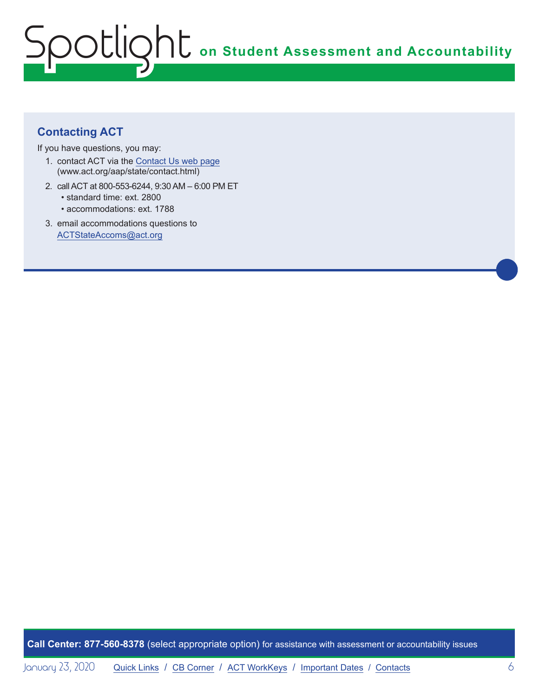### **Contacting ACT**

If you have questions, you may:

- 1. contact ACT via the [Contact Us web page](http://www.act.org/aap/state/contact.html) [\(www.act.org/aap/state/contact.html](https://www.act.org/aap/state/contact.html))
- 2. call ACT at 800-553-6244, 9:30 AM 6:00 PM ET • standard time: ext. 2800
	- accommodations: ext. 1788
- 3. email accommodations questions to [ACTStateAccoms@act.org](mailto:ACTStateAccoms%40act.org?subject=)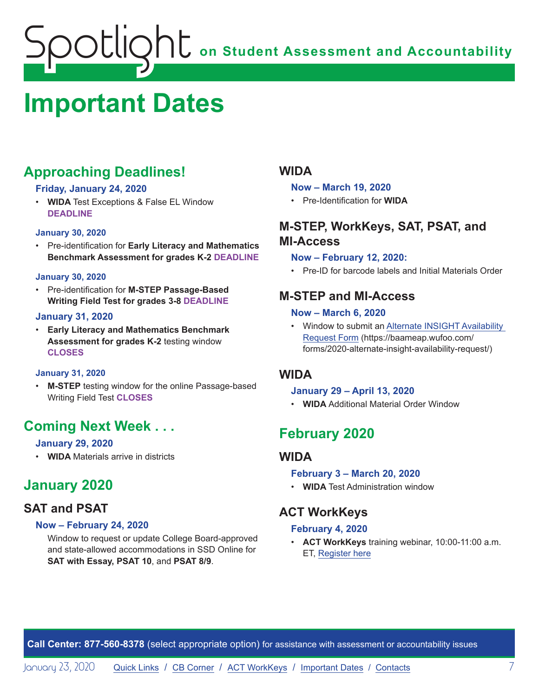## <span id="page-6-1"></span><span id="page-6-0"></span>**Important Dates**

## **Approaching Deadlines!**

#### **Friday, January 24, 2020**

• **WIDA** Test Exceptions & False EL Window **DEADLINE**

#### **January 30, 2020**

• Pre-identification for **Early Literacy and Mathematics Benchmark Assessment for grades K-2 DEADLINE**

#### **January 30, 2020**

• Pre-identification for **M-STEP Passage-Based Writing Field Test for grades 3-8 DEADLINE**

#### **January 31, 2020**

• **Early Literacy and Mathematics Benchmark Assessment for grades K-2** testing window **CLOSES**

#### **January 31, 2020**

• **M-STEP** testing window for the online Passage-based Writing Field Test **CLOSES**

## **Coming Next Week . . .**

#### **January 29, 2020**

• **WIDA** Materials arrive in districts

## **January 2020**

#### **SAT and PSAT**

#### **Now – February 24, 2020**

Window to request or update College Board-approved and state-allowed accommodations in SSD Online for **SAT with Essay, PSAT 10**, and **PSAT 8/9**.

#### **WIDA**

#### **Now – March 19, 2020**

• Pre-Identification for **WIDA**

### **M-STEP, WorkKeys, SAT, PSAT, and MI-Access**

#### **Now – February 12, 2020:**

• Pre-ID for barcode labels and Initial Materials Order

#### **M-STEP and MI-Access**

#### **Now – March 6, 2020**

• Window to submit an [Alternate INSIGHT Availability](https://baameap.wufoo.com/forms/2020-alternate-insight-availability-request/)  [Request Form](https://baameap.wufoo.com/forms/2020-alternate-insight-availability-request/) (https://baameap.wufoo.com/ forms/2020-alternate-insight-availability-request/)

#### **WIDA**

#### **January 29 – April 13, 2020**

• **WIDA** Additional Material Order Window

## **February 2020**

#### **WIDA**

#### **February 3 – March 20, 2020**

• **WIDA** Test Administration window

#### **ACT WorkKeys**

#### **February 4, 2020**

• **ACT WorkKeys** training webinar, 10:00-11:00 a.m. ET, [Register here](https://event.on24.com/wcc/r/2124038/11177BB2C08057557E1BDD10CF935708)

**Call Center: 877-560-8378** (select appropriate option) for assistance with assessment or accountability issues

January 23, 2020 [Quick Links](#page-0-0) / [CB Corner](#page-2-1) / [ACT WorkKeys](#page-4-0) / [Important Dates](#page-6-1) / [Contacts](#page-8-1) 7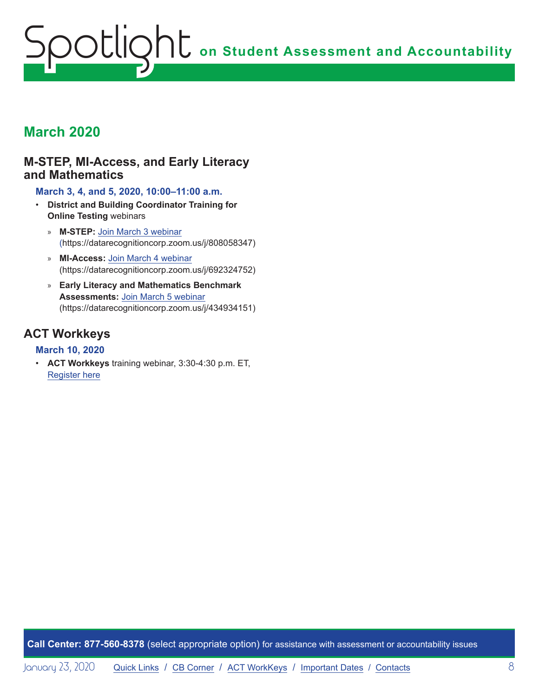## **March 2020**

#### **M-STEP, MI-Access, and Early Literacy and Mathematics**

**March 3, 4, and 5, 2020, 10:00–11:00 a.m.**

- **District and Building Coordinator Training for Online Testing** webinars
	- » **M-STEP:** [Join March 3 webinar](https://datarecognitioncorp.zoom.us/j/808058347) (https://datarecognitioncorp.zoom.us/j/808058347)
	- » **MI-Access:** [Join March 4 webinar](https://datarecognitioncorp.zoom.us/j/692324752) (https://datarecognitioncorp.zoom.us/j/692324752)
	- » **Early Literacy and Mathematics Benchmark Assessments:** [Join March 5 webinar](https://datarecognitioncorp.zoom.us/j/434934151) (https://datarecognitioncorp.zoom.us/j/434934151)

#### **ACT Workkeys**

#### **March 10, 2020**

• **ACT Workkeys** training webinar, 3:30-4:30 p.m. ET, [Register here](https://event.on24.com/wcc/r/2124036/C50E209AAEDE2B03029BDE55DA459C17)